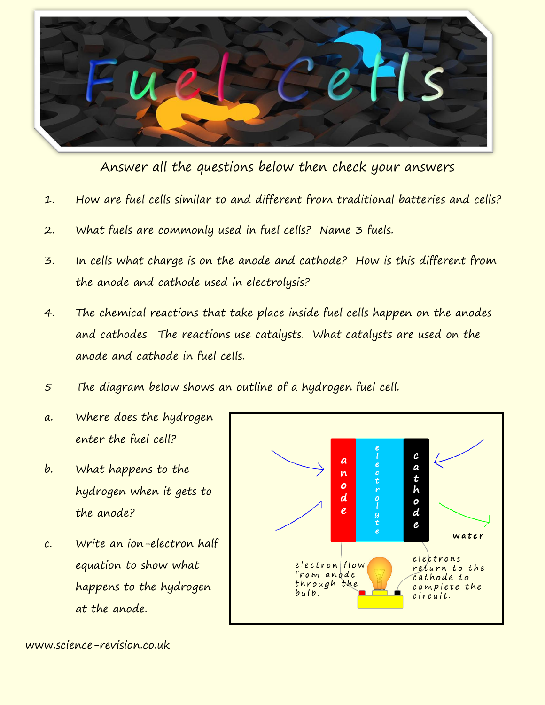

Answer all the questions below then check your answers

- 1. How are fuel cells similar to and different from traditional batteries and cells?
- 2. What fuels are commonly used in fuel cells? Name 3 fuels.
- 3. In cells what charge is on the anode and cathode? How is this different from the anode and cathode used in electrolysis?
- 4. The chemical reactions that take place inside fuel cells happen on the anodes and cathodes. The reactions use catalysts. What catalysts are used on the anode and cathode in fuel cells.
- 5 The diagram below shows an outline of a hydrogen fuel cell.
- a. Where does the hydrogen enter the fuel cell?
- b. What happens to the hydrogen when it gets to the anode?
- c. Write an ion-electron half equation to show what happens to the hydrogen at the anode.



www.science-revision.co.uk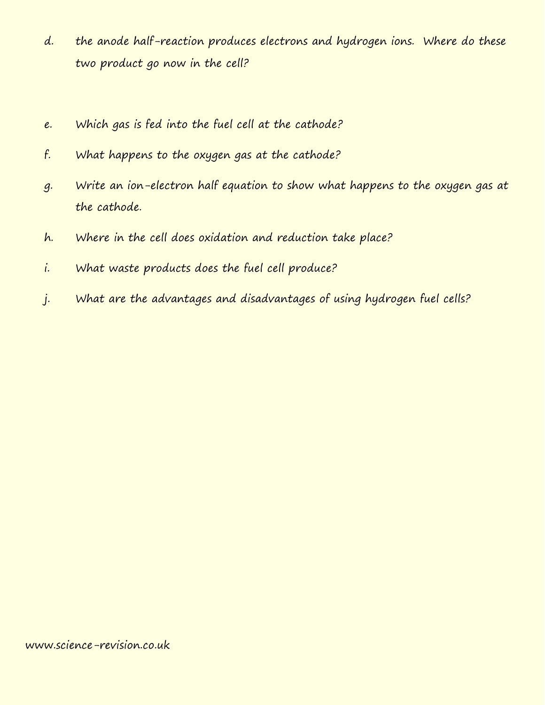- d. the anode half-reaction produces electrons and hydrogen ions. Where do these two product go now in the cell?
- e. Which gas is fed into the fuel cell at the cathode?
- f. What happens to the oxygen gas at the cathode?
- g. Write an ion-electron half equation to show what happens to the oxygen gas at the cathode.
- h. Where in the cell does oxidation and reduction take place?
- i. What waste products does the fuel cell produce?
- j. What are the advantages and disadvantages of using hydrogen fuel cells?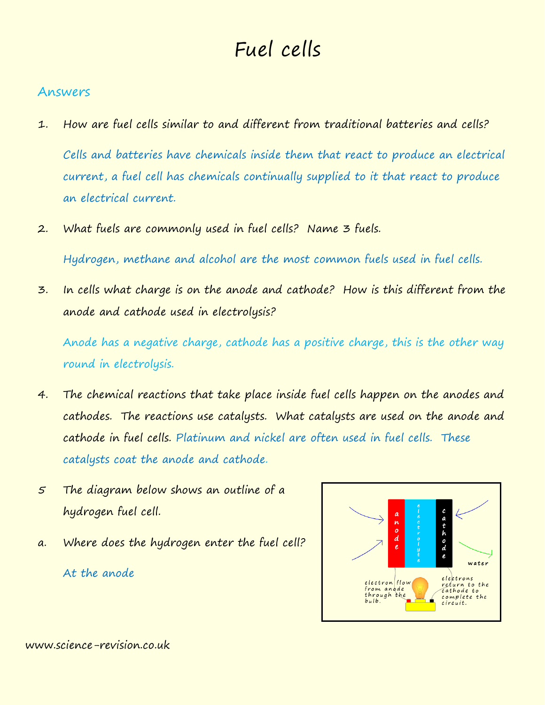## Fuel cells

## Answers

- 1. How are fuel cells similar to and different from traditional batteries and cells? Cells and batteries have chemicals inside them that react to produce an electrical current, a fuel cell has chemicals continually supplied to it that react to produce an electrical current.
- 2. What fuels are commonly used in fuel cells? Name 3 fuels.

Hydrogen, methane and alcohol are the most common fuels used in fuel cells.

3. In cells what charge is on the anode and cathode? How is this different from the anode and cathode used in electrolysis?

Anode has a negative charge, cathode has a positive charge, this is the other way round in electrolysis.

- 4. The chemical reactions that take place inside fuel cells happen on the anodes and cathodes. The reactions use catalysts. What catalysts are used on the anode and cathode in fuel cells. Platinum and nickel are often used in fuel cells. These catalysts coat the anode and cathode.
- 5 The diagram below shows an outline of a hydrogen fuel cell.
- a. Where does the hydrogen enter the fuel cell? At the anode



www.science-revision.co.uk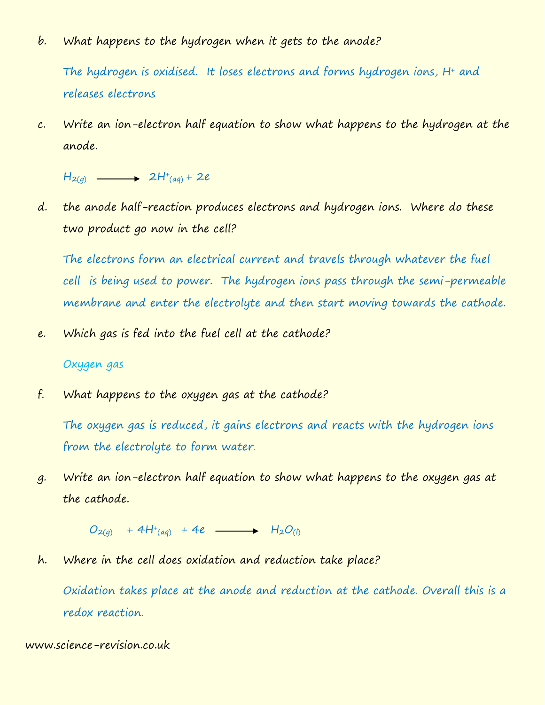b. What happens to the hydrogen when it gets to the anode?

The hydrogen is oxidised. It loses electrons and forms hydrogen ions, H<sup>+</sup> and releases electrons

c. Write an ion-electron half equation to show what happens to the hydrogen at the anode.

 $H_{2(q)} \longrightarrow 2H^{+}_{(aq)} + 2e$ 

d. the anode half-reaction produces electrons and hydrogen ions. Where do these two product go now in the cell?

The electrons form an electrical current and travels through whatever the fuel cell is being used to power. The hydrogen ions pass through the semi-permeable membrane and enter the electrolyte and then start moving towards the cathode.

e. Which gas is fed into the fuel cell at the cathode?

## Oxygen gas

f. What happens to the oxygen gas at the cathode?

The oxygen gas is reduced, it gains electrons and reacts with the hydrogen ions from the electrolyte to form water.

g. Write an ion-electron half equation to show what happens to the oxygen gas at the cathode.

 $O_{2(q)}$  + 4H<sup>+</sup>(aq) + 4e -  $H_2O_{(l)}$ 

h. Where in the cell does oxidation and reduction take place?

Oxidation takes place at the anode and reduction at the cathode. Overall this is a redox reaction.

www.science-revision.co.uk